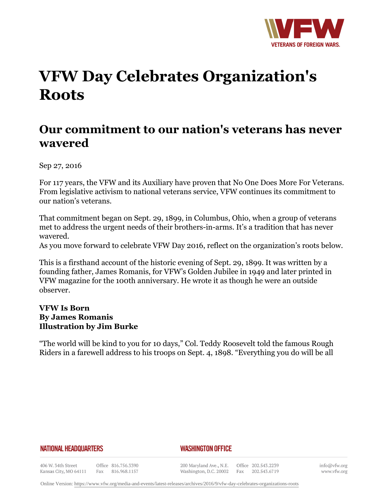

# **VFW Day Celebrates Organization's Roots**

# **Our commitment to our nation's veterans has never wavered**

Sep 27, 2016

For 117 years, the VFW and its Auxiliary have proven that No One Does More For Veterans. From legislative activism to national veterans service, VFW continues its commitment to our nation's veterans.

That commitment began on Sept. 29, 1899, in Columbus, Ohio, when a group of veterans met to address the urgent needs of their brothers-in-arms. It's a tradition that has never wavered.

As you move forward to celebrate VFW Day 2016, reflect on the organization's roots below.

This is a firsthand account of the historic evening of Sept. 29, 1899. It was written by a founding father, James Romanis, for VFW's Golden Jubilee in 1949 and later printed in VFW magazine for the 100th anniversary. He wrote it as though he were an outside observer.

# **VFW Is Born By James Romanis Illustration by Jim Burke**

"The world will be kind to you for 10 days," Col. Teddy Roosevelt told the famous Rough Riders in a farewell address to his troops on Sept. 4, 1898. "Everything you do will be all

#### **NATIONAL HEADQUARTERS**

#### *WASHINGTON OFFICE*

406 W. 34th Street Office 816.756.3390 Kansas City, MO 64111 Fax 816.968.1157

200 Maryland Ave., N.E. Washington, D.C. 20002

Office 202.543.2239 Fax 202.543.6719

info@vfw.org www.vfw.org

Online Version:<https://www.vfw.org/media-and-events/latest-releases/archives/2016/9/vfw-day-celebrates-organizations-roots>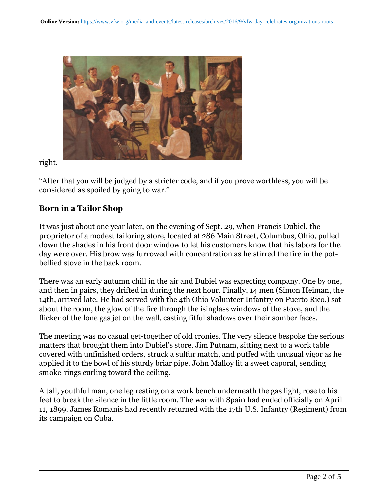

right.

"After that you will be judged by a stricter code, and if you prove worthless, you will be considered as spoiled by going to war."

# **Born in a Tailor Shop**

It was just about one year later, on the evening of Sept. 29, when Francis Dubiel, the proprietor of a modest tailoring store, located at 286 Main Street, Columbus, Ohio, pulled down the shades in his front door window to let his customers know that his labors for the day were over. His brow was furrowed with concentration as he stirred the fire in the potbellied stove in the back room.

There was an early autumn chill in the air and Dubiel was expecting company. One by one, and then in pairs, they drifted in during the next hour. Finally, 14 men (Simon Heiman, the 14th, arrived late. He had served with the 4th Ohio Volunteer Infantry on Puerto Rico.) sat about the room, the glow of the fire through the isinglass windows of the stove, and the flicker of the lone gas jet on the wall, casting fitful shadows over their somber faces.

The meeting was no casual get-together of old cronies. The very silence bespoke the serious matters that brought them into Dubiel's store. Jim Putnam, sitting next to a work table covered with unfinished orders, struck a sulfur match, and puffed with unusual vigor as he applied it to the bowl of his sturdy briar pipe. John Malloy lit a sweet caporal, sending smoke-rings curling toward the ceiling.

A tall, youthful man, one leg resting on a work bench underneath the gas light, rose to his feet to break the silence in the little room. The war with Spain had ended officially on April 11, 1899. James Romanis had recently returned with the 17th U.S. Infantry (Regiment) from its campaign on Cuba.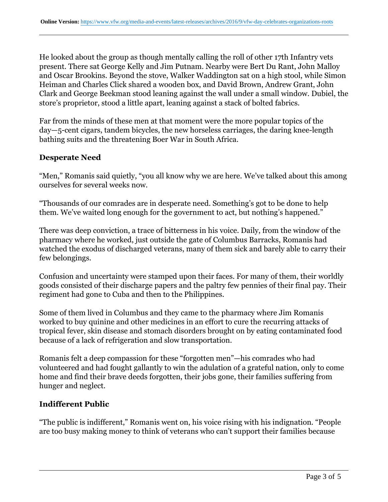He looked about the group as though mentally calling the roll of other 17th Infantry vets present. There sat George Kelly and Jim Putnam. Nearby were Bert Du Rant, John Malloy and Oscar Brookins. Beyond the stove, Walker Waddington sat on a high stool, while Simon Heiman and Charles Click shared a wooden box, and David Brown, Andrew Grant, John Clark and George Beekman stood leaning against the wall under a small window. Dubiel, the store's proprietor, stood a little apart, leaning against a stack of bolted fabrics.

Far from the minds of these men at that moment were the more popular topics of the day—5-cent cigars, tandem bicycles, the new horseless carriages, the daring knee-length bathing suits and the threatening Boer War in South Africa.

# **Desperate Need**

"Men," Romanis said quietly, "you all know why we are here. We've talked about this among ourselves for several weeks now.

"Thousands of our comrades are in desperate need. Something's got to be done to help them. We've waited long enough for the government to act, but nothing's happened."

There was deep conviction, a trace of bitterness in his voice. Daily, from the window of the pharmacy where he worked, just outside the gate of Columbus Barracks, Romanis had watched the exodus of discharged veterans, many of them sick and barely able to carry their few belongings.

Confusion and uncertainty were stamped upon their faces. For many of them, their worldly goods consisted of their discharge papers and the paltry few pennies of their final pay. Their regiment had gone to Cuba and then to the Philippines.

Some of them lived in Columbus and they came to the pharmacy where Jim Romanis worked to buy quinine and other medicines in an effort to cure the recurring attacks of tropical fever, skin disease and stomach disorders brought on by eating contaminated food because of a lack of refrigeration and slow transportation.

Romanis felt a deep compassion for these "forgotten men"—his comrades who had volunteered and had fought gallantly to win the adulation of a grateful nation, only to come home and find their brave deeds forgotten, their jobs gone, their families suffering from hunger and neglect.

# **Indifferent Public**

"The public is indifferent," Romanis went on, his voice rising with his indignation. "People are too busy making money to think of veterans who can't support their families because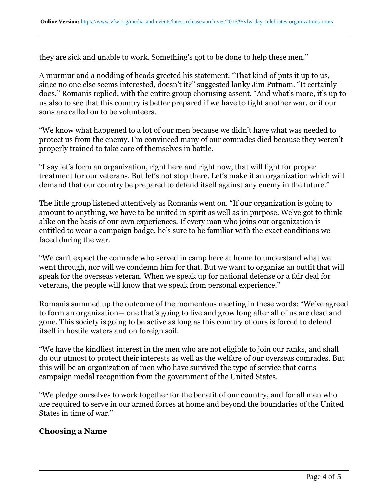they are sick and unable to work. Something's got to be done to help these men."

A murmur and a nodding of heads greeted his statement. "That kind of puts it up to us, since no one else seems interested, doesn't it?" suggested lanky Jim Putnam. "It certainly does," Romanis replied, with the entire group chorusing assent. "And what's more, it's up to us also to see that this country is better prepared if we have to fight another war, or if our sons are called on to be volunteers.

"We know what happened to a lot of our men because we didn't have what was needed to protect us from the enemy. I'm convinced many of our comrades died because they weren't properly trained to take care of themselves in battle.

"I say let's form an organization, right here and right now, that will fight for proper treatment for our veterans. But let's not stop there. Let's make it an organization which will demand that our country be prepared to defend itself against any enemy in the future."

The little group listened attentively as Romanis went on. "If our organization is going to amount to anything, we have to be united in spirit as well as in purpose. We've got to think alike on the basis of our own experiences. If every man who joins our organization is entitled to wear a campaign badge, he's sure to be familiar with the exact conditions we faced during the war.

"We can't expect the comrade who served in camp here at home to understand what we went through, nor will we condemn him for that. But we want to organize an outfit that will speak for the overseas veteran. When we speak up for national defense or a fair deal for veterans, the people will know that we speak from personal experience."

Romanis summed up the outcome of the momentous meeting in these words: "We've agreed to form an organization— one that's going to live and grow long after all of us are dead and gone. This society is going to be active as long as this country of ours is forced to defend itself in hostile waters and on foreign soil.

"We have the kindliest interest in the men who are not eligible to join our ranks, and shall do our utmost to protect their interests as well as the welfare of our overseas comrades. But this will be an organization of men who have survived the type of service that earns campaign medal recognition from the government of the United States.

"We pledge ourselves to work together for the benefit of our country, and for all men who are required to serve in our armed forces at home and beyond the boundaries of the United States in time of war."

# **Choosing a Name**